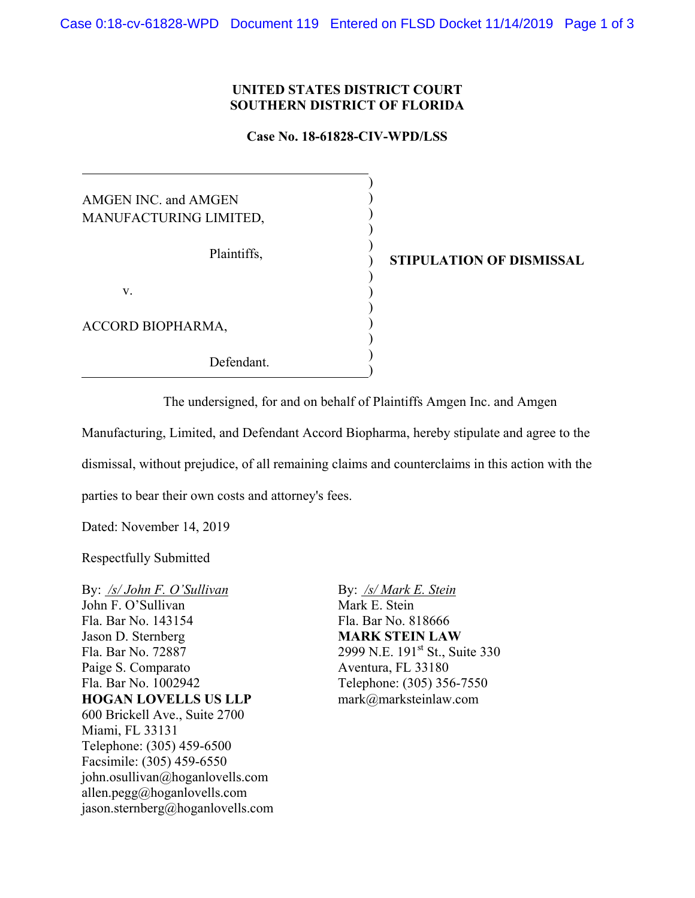## **UNITED STATES DISTRICT COURT SOUTHERN DISTRICT OF FLORIDA**

## **Case No. 18-61828-CIV-WPD/LSS**

| AMGEN INC. and AMGEN   |             |
|------------------------|-------------|
| MANUFACTURING LIMITED, |             |
| Plaintiffs,            | <b>STIP</b> |
| V.                     |             |
| ACCORD BIOPHARMA,      |             |
| Defendant.             |             |

**ULATION OF DISMISSAL** 

The undersigned, for and on behalf of Plaintiffs Amgen Inc. and Amgen

Manufacturing, Limited, and Defendant Accord Biopharma, hereby stipulate and agree to the

dismissal, without prejudice, of all remaining claims and counterclaims in this action with the

parties to bear their own costs and attorney's fees.

Dated: November 14, 2019

Respectfully Submitted

By: */s/ John F. O'Sullivan*  John F. O'Sullivan Fla. Bar No. 143154 Jason D. Sternberg Fla. Bar No. 72887 Paige S. Comparato Fla. Bar No. 1002942 **HOGAN LOVELLS US LLP** 600 Brickell Ave., Suite 2700 Miami, FL 33131 Telephone: (305) 459-6500 Facsimile: (305) 459-6550 john.osullivan@hoganlovells.com allen.pegg@hoganlovells.com jason.sternberg@hoganlovells.com By: */s/ Mark E. Stein*  Mark E. Stein Fla. Bar No. 818666 **MARK STEIN LAW** 2999 N.E. 191<sup>st</sup> St., Suite 330 Aventura, FL 33180 Telephone: (305) 356-7550 mark@marksteinlaw.com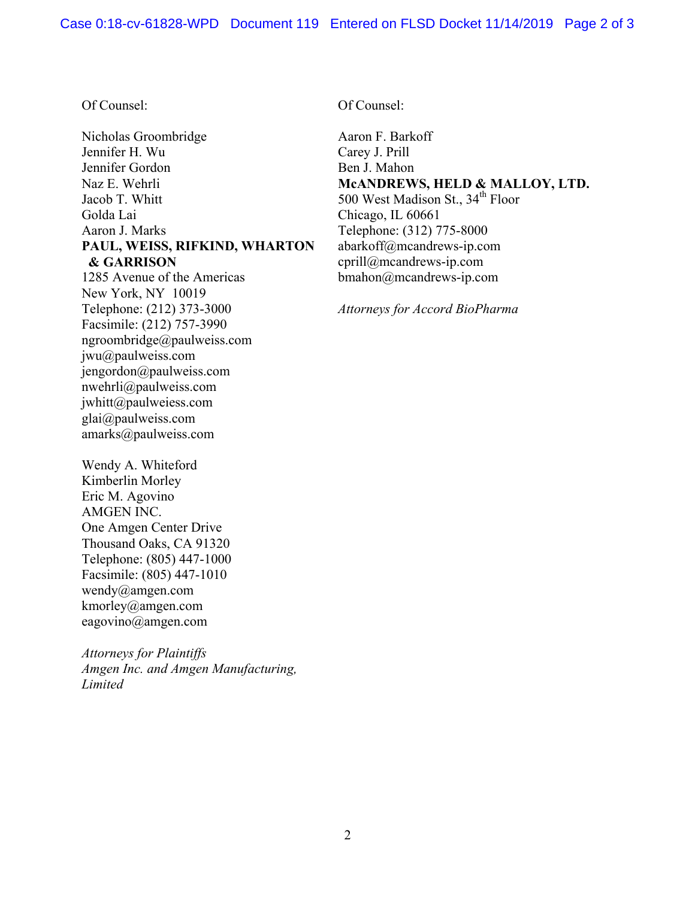## Of Counsel:

Nicholas Groombridge Jennifer H. Wu Jennifer Gordon Naz E. Wehrli Jacob T. Whitt Golda Lai Aaron J. Marks **PAUL, WEISS, RIFKIND, WHARTON & GARRISON**

1285 Avenue of the Americas New York, NY 10019 Telephone: (212) 373-3000 Facsimile: (212) 757-3990 ngroombridge@paulweiss.com jwu@paulweiss.com jengordon@paulweiss.com nwehrli@paulweiss.com jwhitt@paulweiess.com glai@paulweiss.com amarks@paulweiss.com

Wendy A. Whiteford Kimberlin Morley Eric M. Agovino AMGEN INC. One Amgen Center Drive Thousand Oaks, CA 91320 Telephone: (805) 447-1000 Facsimile: (805) 447-1010 wendy@amgen.com kmorley@amgen.com eagovino@amgen.com

*Attorneys for Plaintiffs Amgen Inc. and Amgen Manufacturing, Limited*

Of Counsel:

Aaron F. Barkoff Carey J. Prill Ben J. Mahon **McANDREWS, HELD & MALLOY, LTD.** 500 West Madison St., 34<sup>th</sup> Floor Chicago, IL 60661 Telephone: (312) 775-8000 abarkoff@mcandrews-ip.com cprill@mcandrews-ip.com bmahon@mcandrews-ip.com

*Attorneys for Accord BioPharma*